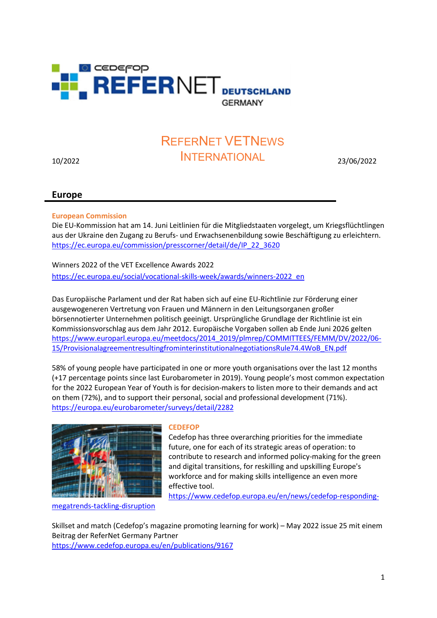

# 10/2022 23/06/2022 INTERNATIONALREFERNET VETNEWS

# Europe

# European Commission

Die EU-Kommission hat am 14. Juni Leitlinien für die Mitgliedstaaten vorgelegt, um Kriegsflüchtlingen aus der Ukraine den Zugang zu Berufs- und Erwachsenenbildung sowie Beschäftigung zu erleichtern. https://ec.europa.eu/commission/presscorner/detail/de/IP\_22\_3620

Winners 2022 of the VET Excellence Awards 2022

https://ec.europa.eu/social/vocational-skills-week/awards/winners-2022\_en

Das Europäische Parlament und der Rat haben sich auf eine EU-Richtlinie zur Förderung einer ausgewogeneren Vertretung von Frauen und Männern in den Leitungsorganen großer börsennotierter Unternehmen politisch geeinigt. Ursprüngliche Grundlage der Richtlinie ist ein Kommissionsvorschlag aus dem Jahr 2012. Europäische Vorgaben sollen ab Ende Juni 2026 gelten https://www.europarl.europa.eu/meetdocs/2014\_2019/plmrep/COMMITTEES/FEMM/DV/2022/06- 15/ProvisionalagreementresultingfrominterinstitutionalnegotiationsRule74.4WoB\_EN.pdf

58% of young people have participated in one or more youth organisations over the last 12 months (+17 percentage points since last Eurobarometer in 2019). Young people's most common expectation for the 2022 European Year of Youth is for decision-makers to listen more to their demands and act on them (72%), and to support their personal, social and professional development (71%). https://europa.eu/eurobarometer/surveys/detail/2282



# **CEDEFOP**

Cedefop has three overarching priorities for the immediate future, one for each of its strategic areas of operation: to contribute to research and informed policy-making for the green and digital transitions, for reskilling and upskilling Europe's workforce and for making skills intelligence an even more effective tool.

https://www.cedefop.europa.eu/en/news/cedefop-responding-

megatrends-tackling-disruption

Skillset and match (Cedefop's magazine promoting learning for work) – May 2022 issue 25 mit einem Beitrag der ReferNet Germany Partner https://www.cedefop.europa.eu/en/publications/9167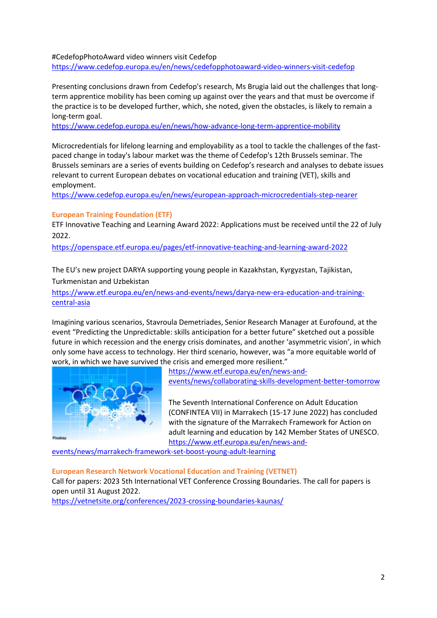#### #CedefopPhotoAward video winners visit Cedefop

https://www.cedefop.europa.eu/en/news/cedefopphotoaward-video-winners-visit-cedefop

Presenting conclusions drawn from Cedefop's research, Ms Brugia laid out the challenges that longterm apprentice mobility has been coming up against over the years and that must be overcome if the practice is to be developed further, which, she noted, given the obstacles, is likely to remain a long-term goal.

https://www.cedefop.europa.eu/en/news/how-advance-long-term-apprentice-mobility

Microcredentials for lifelong learning and employability as a tool to tackle the challenges of the fastpaced change in today's labour market was the theme of Cedefop's 12th Brussels seminar. The Brussels seminars are a series of events building on Cedefop's research and analyses to debate issues relevant to current European debates on vocational education and training (VET), skills and employment.

https://www.cedefop.europa.eu/en/news/european-approach-microcredentials-step-nearer

# European Training Foundation (ETF)

ETF Innovative Teaching and Learning Award 2022: Applications must be received until the 22 of July 2022.

https://openspace.etf.europa.eu/pages/etf-innovative-teaching-and-learning-award-2022

The EU's new project DARYA supporting young people in Kazakhstan, Kyrgyzstan, Tajikistan, Turkmenistan and Uzbekistan

https://www.etf.europa.eu/en/news-and-events/news/darya-new-era-education-and-trainingcentral-asia

Imagining various scenarios, Stavroula Demetriades, Senior Research Manager at Eurofound, at the event "Predicting the Unpredictable: skills anticipation for a better future" sketched out a possible future in which recession and the energy crisis dominates, and another 'asymmetric vision', in which only some have access to technology. Her third scenario, however, was "a more equitable world of work, in which we have survived the crisis and emerged more resilient."



https://www.etf.europa.eu/en/news-andevents/news/collaborating-skills-development-better-tomorrow

The Seventh International Conference on Adult Education (CONFINTEA VII) in Marrakech (15-17 June 2022) has concluded with the signature of the Marrakech Framework for Action on adult learning and education by 142 Member States of UNESCO. https://www.etf.europa.eu/en/news-and-

events/news/marrakech-framework-set-boost-young-adult-learning

#### European Research Network Vocational Education and Training (VETNET)

Call for papers: 2023 5th International VET Conference Crossing Boundaries. The call for papers is open until 31 August 2022.

https://vetnetsite.org/conferences/2023-crossing-boundaries-kaunas/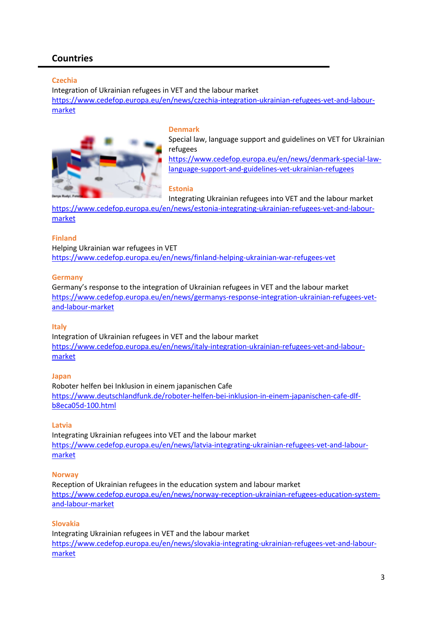# Countries

# **Czechia**

Integration of Ukrainian refugees in VET and the labour market https://www.cedefop.europa.eu/en/news/czechia-integration-ukrainian-refugees-vet-and-labourmarket



#### Denmark

Special law, language support and guidelines on VET for Ukrainian refugees

https://www.cedefop.europa.eu/en/news/denmark-special-lawlanguage-support-and-guidelines-vet-ukrainian-refugees

# Estonia

Integrating Ukrainian refugees into VET and the labour market

https://www.cedefop.europa.eu/en/news/estonia-integrating-ukrainian-refugees-vet-and-labourmarket

# Finland

Helping Ukrainian war refugees in VET https://www.cedefop.europa.eu/en/news/finland-helping-ukrainian-war-refugees-vet

#### Germany

Germany's response to the integration of Ukrainian refugees in VET and the labour market https://www.cedefop.europa.eu/en/news/germanys-response-integration-ukrainian-refugees-vetand-labour-market

# Italy

Integration of Ukrainian refugees in VET and the labour market https://www.cedefop.europa.eu/en/news/italy-integration-ukrainian-refugees-vet-and-labourmarket

# Japan

Roboter helfen bei Inklusion in einem japanischen Cafe https://www.deutschlandfunk.de/roboter-helfen-bei-inklusion-in-einem-japanischen-cafe-dlfb8eca05d-100.html

# Latvia

Integrating Ukrainian refugees into VET and the labour market https://www.cedefop.europa.eu/en/news/latvia-integrating-ukrainian-refugees-vet-and-labourmarket

# **Norway**

Reception of Ukrainian refugees in the education system and labour market https://www.cedefop.europa.eu/en/news/norway-reception-ukrainian-refugees-education-systemand-labour-market

# Slovakia

Integrating Ukrainian refugees in VET and the labour market https://www.cedefop.europa.eu/en/news/slovakia-integrating-ukrainian-refugees-vet-and-labourmarket